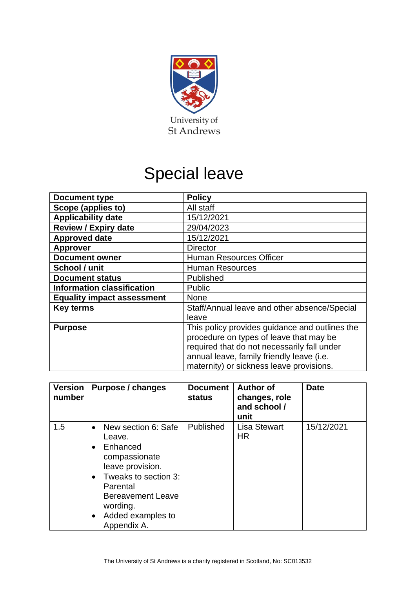

# Special leave

| <b>Document type</b>              | <b>Policy</b>                                  |  |  |
|-----------------------------------|------------------------------------------------|--|--|
| Scope (applies to)                | All staff                                      |  |  |
| <b>Applicability date</b>         | 15/12/2021                                     |  |  |
| <b>Review / Expiry date</b>       | 29/04/2023                                     |  |  |
| <b>Approved date</b>              | 15/12/2021                                     |  |  |
| <b>Approver</b>                   | <b>Director</b>                                |  |  |
| <b>Document owner</b>             | Human Resources Officer                        |  |  |
| School / unit                     | <b>Human Resources</b>                         |  |  |
| <b>Document status</b>            | Published                                      |  |  |
| <b>Information classification</b> | <b>Public</b>                                  |  |  |
| <b>Equality impact assessment</b> | <b>None</b>                                    |  |  |
| <b>Key terms</b>                  | Staff/Annual leave and other absence/Special   |  |  |
|                                   | leave                                          |  |  |
| <b>Purpose</b>                    | This policy provides guidance and outlines the |  |  |
|                                   | procedure on types of leave that may be        |  |  |
|                                   | required that do not necessarily fall under    |  |  |
|                                   | annual leave, family friendly leave (i.e.      |  |  |
|                                   | maternity) or sickness leave provisions.       |  |  |

| <b>Version</b><br>number | Purpose / changes                                                                                                                                                                                                                                  | <b>Document</b><br>status | <b>Author of</b><br>changes, role<br>and school /<br>unit | <b>Date</b> |
|--------------------------|----------------------------------------------------------------------------------------------------------------------------------------------------------------------------------------------------------------------------------------------------|---------------------------|-----------------------------------------------------------|-------------|
| 1.5                      | New section 6: Safe<br>$\bullet$<br>Leave.<br>Enhanced<br>$\bullet$<br>compassionate<br>leave provision.<br>Tweaks to section 3:<br>$\bullet$<br>Parental<br><b>Bereavement Leave</b><br>wording.<br>Added examples to<br>$\bullet$<br>Appendix A. | Published                 | <b>Lisa Stewart</b><br>HR.                                | 15/12/2021  |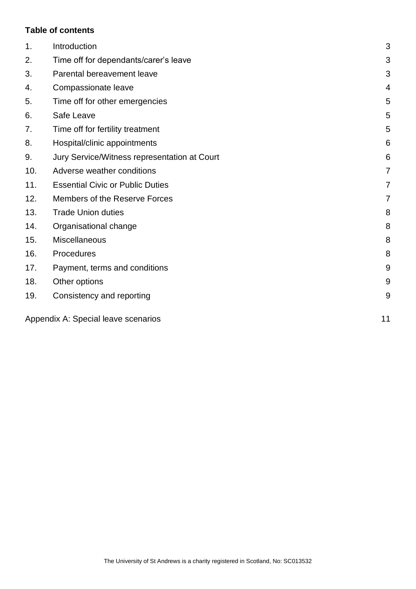# **Table of contents**

| 1.  | Introduction                                 | 3  |
|-----|----------------------------------------------|----|
| 2.  | Time off for dependants/carer's leave        | 3  |
| 3.  | Parental bereavement leave                   | 3  |
| 4.  | Compassionate leave                          | 4  |
| 5.  | Time off for other emergencies               | 5  |
| 6.  | Safe Leave                                   | 5  |
| 7.  | Time off for fertility treatment             | 5  |
| 8.  | Hospital/clinic appointments                 | 6  |
| 9.  | Jury Service/Witness representation at Court | 6  |
| 10. | Adverse weather conditions                   | 7  |
| 11. | <b>Essential Civic or Public Duties</b>      | 7  |
| 12. | Members of the Reserve Forces                | 7  |
| 13. | <b>Trade Union duties</b>                    | 8  |
| 14. | Organisational change                        | 8  |
| 15. | Miscellaneous                                | 8  |
| 16. | Procedures                                   | 8  |
| 17. | Payment, terms and conditions                | 9  |
| 18. | Other options                                | 9  |
| 19. | Consistency and reporting                    | 9  |
|     | Appendix A: Special leave scenarios          | 11 |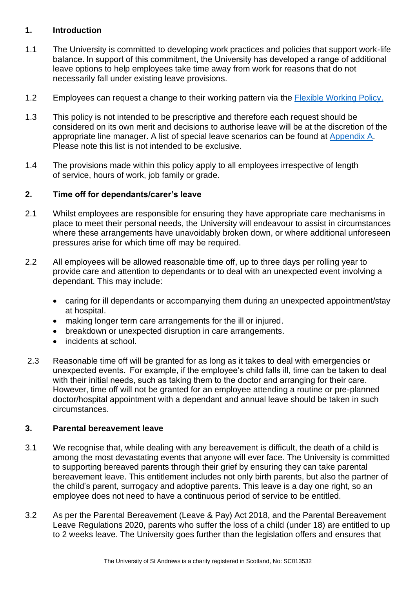## <span id="page-2-0"></span>**1. Introduction**

- 1.1 The University is committed to developing work practices and policies that support work-life balance. In support of this commitment, the University has developed a range of additional leave options to help employees take time away from work for reasons that do not necessarily fall under existing leave provisions.
- 1.2 Employees can request a change to their working pattern via the [Flexible Working Policy.](https://www.st-andrews.ac.uk/staff/policy/hr/flexibleworkingpolicy/)
- 1.3 This policy is not intended to be prescriptive and therefore each request should be considered on its own merit and decisions to authorise leave will be at the discretion of the appropriate line manager. A list of special leave scenarios can be found at [Appendix A.](#page-10-0) Please note this list is not intended to be exclusive.
- 1.4 The provisions made within this policy apply to all employees irrespective of length of service, hours of work, job family or grade.

#### <span id="page-2-1"></span>**2. Time off for dependants/carer's leave**

- 2.1 Whilst employees are responsible for ensuring they have appropriate care mechanisms in place to meet their personal needs, the University will endeavour to assist in circumstances where these arrangements have unavoidably broken down, or where additional unforeseen pressures arise for which time off may be required.
- 2.2 All employees will be allowed reasonable time off, up to three days per rolling year to provide care and attention to dependants or to deal with an unexpected event involving a dependant. This may include:
	- caring for ill dependants or accompanying them during an unexpected appointment/stay at hospital.
	- making longer term care arrangements for the ill or injured.
	- breakdown or unexpected disruption in care arrangements.
	- incidents at school.
- 2.3 Reasonable time off will be granted for as long as it takes to deal with emergencies or unexpected events.  For example, if the employee's child falls ill, time can be taken to deal with their initial needs, such as taking them to the doctor and arranging for their care.  However, time off will not be granted for an employee attending a routine or pre-planned doctor/hospital appointment with a dependant and annual leave should be taken in such circumstances.

#### <span id="page-2-2"></span>**3. Parental bereavement leave**

- 3.1 We recognise that, while dealing with any bereavement is difficult, the death of a child is among the most devastating events that anyone will ever face. The University is committed to supporting bereaved parents through their grief by ensuring they can take parental bereavement leave. This entitlement includes not only birth parents, but also the partner of the child's parent, surrogacy and adoptive parents. This leave is a day one right, so an employee does not need to have a continuous period of service to be entitled.
- 3.2 As per the Parental Bereavement (Leave & Pay) Act 2018, and the Parental Bereavement Leave Regulations 2020, parents who suffer the loss of a child (under 18) are entitled to up to 2 weeks leave. The University goes further than the legislation offers and ensures that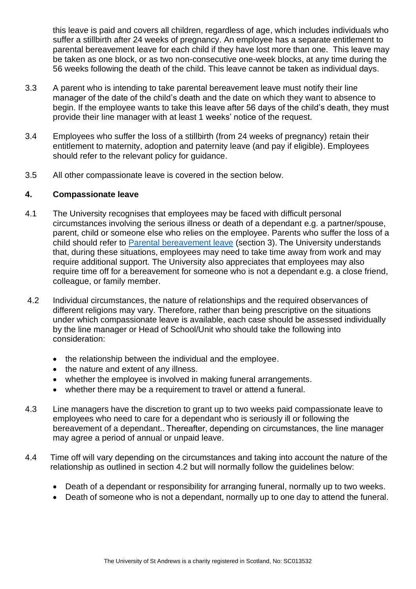this leave is paid and covers all children, regardless of age, which includes individuals who suffer a stillbirth after 24 weeks of pregnancy. An employee has a separate entitlement to parental bereavement leave for each child if they have lost more than one. This leave may be taken as one block, or as two non-consecutive one-week blocks, at any time during the 56 weeks following the death of the child. This leave cannot be taken as individual days.

- 3.3 A parent who is intending to take parental bereavement leave must notify their line manager of the date of the child's death and the date on which they want to absence to begin. If the employee wants to take this leave after 56 days of the child's death, they must provide their line manager with at least 1 weeks' notice of the request.
- 3.4 Employees who suffer the loss of a stillbirth (from 24 weeks of pregnancy) retain their entitlement to maternity, adoption and paternity leave (and pay if eligible). Employees should refer to the relevant policy for guidance.
- 3.5 All other compassionate leave is covered in the section below.

## <span id="page-3-0"></span>**4. Compassionate leave**

- 4.1 The University recognises that employees may be faced with difficult personal circumstances involving the serious illness or death of a dependant e.g. a partner/spouse, parent, child or someone else who relies on the employee. Parents who suffer the loss of a child should refer to [Parental bereavement leave](#page-2-2) (section 3). The University understands that, during these situations, employees may need to take time away from work and may require additional support. The University also appreciates that employees may also require time off for a bereavement for someone who is not a dependant e.g. a close friend, colleague, or family member.
- 4.2 Individual circumstances, the nature of relationships and the required observances of different religions may vary. Therefore, rather than being prescriptive on the situations under which compassionate leave is available, each case should be assessed individually by the line manager or Head of School/Unit who should take the following into consideration:
	- the relationship between the individual and the employee.
	- the nature and extent of any illness.
	- whether the employee is involved in making funeral arrangements.
	- whether there may be a requirement to travel or attend a funeral.
- 4.3 Line managers have the discretion to grant up to two weeks paid compassionate leave to employees who need to care for a dependant who is seriously ill or following the bereavement of a dependant.. Thereafter, depending on circumstances, the line manager may agree a period of annual or unpaid leave.
- 4.4 Time off will vary depending on the circumstances and taking into account the nature of the relationship as outlined in section 4.2 but will normally follow the guidelines below:
	- Death of a dependant or responsibility for arranging funeral, normally up to two weeks.
	- Death of someone who is not a dependant, normally up to one day to attend the funeral.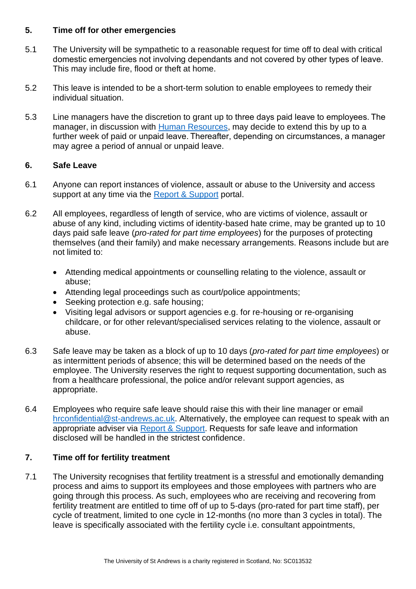## <span id="page-4-0"></span>**5. Time off for other emergencies**

- 5.1 The University will be sympathetic to a reasonable request for time off to deal with critical domestic emergencies not involving dependants and not covered by other types of leave.  This may include fire, flood or theft at home.
- 5.2 This leave is intended to be a short-term solution to enable employees to remedy their individual situation.
- 5.3 Line managers have the discretion to grant up to three days paid leave to employees. The manager, in discussion with [Human Resources,](https://www.st-andrews.ac.uk/hr/businesspartner/) may decide to extend this by up to a further week of paid or unpaid leave. Thereafter, depending on circumstances, a manager may agree a period of annual or unpaid leave.

# <span id="page-4-1"></span>**6. Safe Leave**

- 6.1 Anyone can report instances of violence, assault or abuse to the University and access support at any time via the [Report & Support](https://reportandsupport.st-andrews.ac.uk/) portal.
- 6.2 All employees, regardless of length of service, who are victims of violence, assault or abuse of any kind, including victims of identity-based hate crime, may be granted up to 10 days paid safe leave (*pro-rated for part time employees*) for the purposes of protecting themselves (and their family) and make necessary arrangements. Reasons include but are not limited to:
	- Attending medical appointments or counselling relating to the violence, assault or abuse;
	- Attending legal proceedings such as court/police appointments;
	- Seeking protection e.g. safe housing;
	- Visiting legal advisors or support agencies e.g. for re-housing or re-organising childcare, or for other relevant/specialised services relating to the violence, assault or abuse.
- 6.3 Safe leave may be taken as a block of up to 10 days (*pro-rated for part time employees*) or as intermittent periods of absence; this will be determined based on the needs of the employee. The University reserves the right to request supporting documentation, such as from a healthcare professional, the police and/or relevant support agencies, as appropriate.
- 6.4 Employees who require safe leave should raise this with their line manager or email [hrconfidential@st-andrews.ac.uk.](mailto:hrconfidential@st-andrews.ac.uk) Alternatively, the employee can request to speak with an appropriate adviser via [Report & Support.](https://reportandsupport.st-andrews.ac.uk/) Requests for safe leave and information disclosed will be handled in the strictest confidence.

# <span id="page-4-2"></span>**7. Time off for fertility treatment**

7.1 The University recognises that fertility treatment is a stressful and emotionally demanding process and aims to support its employees and those employees with partners who are going through this process. As such, employees who are receiving and recovering from fertility treatment are entitled to time off of up to 5-days (pro-rated for part time staff), per cycle of treatment, limited to one cycle in 12-months (no more than 3 cycles in total). The leave is specifically associated with the fertility cycle i.e. consultant appointments,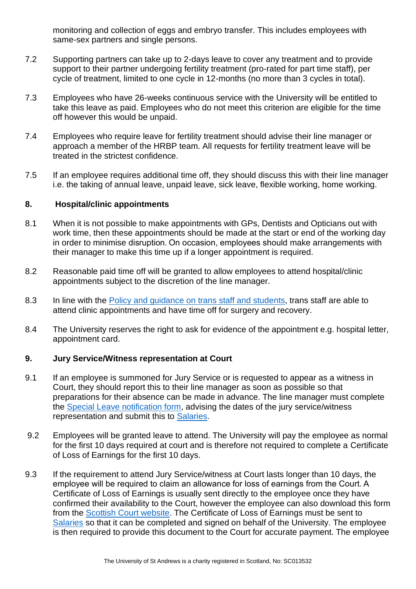monitoring and collection of eggs and embryo transfer. This includes employees with same-sex partners and single persons.

- 7.2 Supporting partners can take up to 2-days leave to cover any treatment and to provide support to their partner undergoing fertility treatment (pro-rated for part time staff), per cycle of treatment, limited to one cycle in 12-months (no more than 3 cycles in total).
- 7.3 Employees who have 26-weeks continuous service with the University will be entitled to take this leave as paid. Employees who do not meet this criterion are eligible for the time off however this would be unpaid.
- 7.4 Employees who require leave for fertility treatment should advise their line manager or approach a member of the HRBP team. All requests for fertility treatment leave will be treated in the strictest confidence.
- 7.5 If an employee requires additional time off, they should discuss this with their line manager i.e. the taking of annual leave, unpaid leave, sick leave, flexible working, home working.

#### <span id="page-5-0"></span>**8. Hospital/clinic appointments**

- 8.1 When it is not possible to make appointments with GPs, Dentists and Opticians out with work time, then these appointments should be made at the start or end of the working day in order to minimise disruption. On occasion, employees should make arrangements with their manager to make this time up if a longer appointment is required.
- 8.2 Reasonable paid time off will be granted to allow employees to attend hospital/clinic appointments subject to the discretion of the line manager.
- 8.3 In line with the [Policy and guidance on trans staff and students,](https://www.st-andrews.ac.uk/policy/staff-equality-diversity-and-inclusion-trans/trans-policy.pdf) trans staff are able to attend clinic appointments and have time off for surgery and recovery.
- 8.4 The University reserves the right to ask for evidence of the appointment e.g. hospital letter, appointment card.

# <span id="page-5-1"></span>**9. Jury Service/Witness representation at Court**

- 9.1 If an employee is summoned for Jury Service or is requested to appear as a witness in Court, they should report this to their line manager as soon as possible so that preparations for their absence can be made in advance. The line manager must complete the [Special Leave notification form,](https://www.st-andrews.ac.uk/media/human-resources/new-policy-section-documents/specialleave/Special%20leave%20notification%20form.docx) advising the dates of the jury service/witness representation and submit this to [Salaries.](mailto:Monthly%20NS%20%3cmonthly-ns@st-andrews.ac.uk%3e)
- 9.2 Employees will be granted leave to attend. The University will pay the employee as normal for the first 10 days required at court and is therefore not required to complete a Certificate of Loss of Earnings for the first 10 days.
- 9.3 If the requirement to attend Jury Service/witness at Court lasts longer than 10 days, the employee will be required to claim an allowance for loss of earnings from the Court. A Certificate of Loss of Earnings is usually sent directly to the employee once they have confirmed their availability to the Court, however the employee can also download this form from the [Scottish Court website.](https://www.scotcourts.gov.uk/docs/default-source/coming-to-court/jurors/certificate-of-loss-of-earnings.pdf?sfvrsn=4) The Certificate of Loss of Earnings must be sent to [Salaries](mailto:Monthly%20NS%20%3cmonthly-ns@st-andrews.ac.uk%3e) so that it can be completed and signed on behalf of the University. The employee is then required to provide this document to the Court for accurate payment. The employee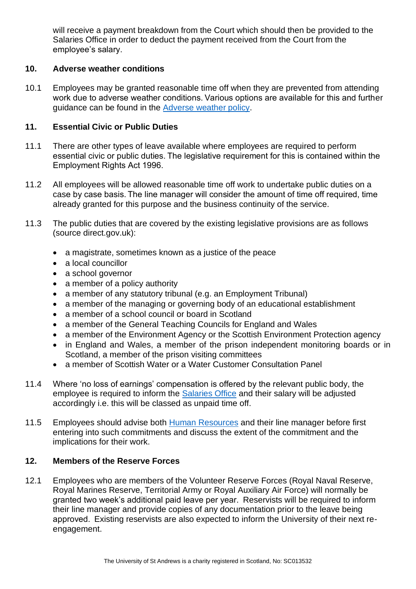will receive a payment breakdown from the Court which should then be provided to the Salaries Office in order to deduct the payment received from the Court from the employee's salary.

## <span id="page-6-0"></span>**10. Adverse weather conditions**

10.1 Employees may be granted reasonable time off when they are prevented from attending work due to adverse weather conditions. Various options are available for this and further guidance can be found in the [Adverse weather policy.](https://www.st-andrews.ac.uk/staff/policy/hr/adverseweatherguide/)

### <span id="page-6-1"></span>**11. Essential Civic or Public Duties**

- 11.1 There are other types of leave available where employees are required to perform essential civic or public duties. The legislative requirement for this is contained within the Employment Rights Act 1996.
- 11.2 All employees will be allowed reasonable time off work to undertake public duties on a case by case basis. The line manager will consider the amount of time off required, time already granted for this purpose and the business continuity of the service.
- 11.3 The public duties that are covered by the existing legislative provisions are as follows (source direct.gov.uk):
	- a magistrate, sometimes known as a justice of the peace
	- a local councillor
	- a school governor
	- a member of a policy authority
	- a member of any statutory tribunal (e.g. an Employment Tribunal)
	- a member of the managing or governing body of an educational establishment
	- a member of a school council or board in Scotland
	- a member of the General Teaching Councils for England and Wales
	- a member of the Environment Agency or the Scottish Environment Protection agency
	- in England and Wales, a member of the prison independent monitoring boards or in Scotland, a member of the prison visiting committees
	- a member of Scottish Water or a Water Customer Consultation Panel
- 11.4 Where 'no loss of earnings' compensation is offered by the relevant public body, the employee is required to inform the [Salaries Office](mailto:Monthly%20NS%20%3cmonthly-ns@st-andrews.ac.uk%3e) and their salary will be adjusted accordingly i.e. this will be classed as unpaid time off.
- 11.5 Employees should advise both [Human Resources](https://www.st-andrews.ac.uk/hr/businesspartner/) and their line manager before first entering into such commitments and discuss the extent of the commitment and the implications for their work.

# <span id="page-6-2"></span>**12. Members of the Reserve Forces**

12.1 Employees who are members of the Volunteer Reserve Forces (Royal Naval Reserve, Royal Marines Reserve, Territorial Army or Royal Auxiliary Air Force) will normally be granted two week's additional paid leave per year.  Reservists will be required to inform their line manager and provide copies of any documentation prior to the leave being approved.  Existing reservists are also expected to inform the University of their next reengagement.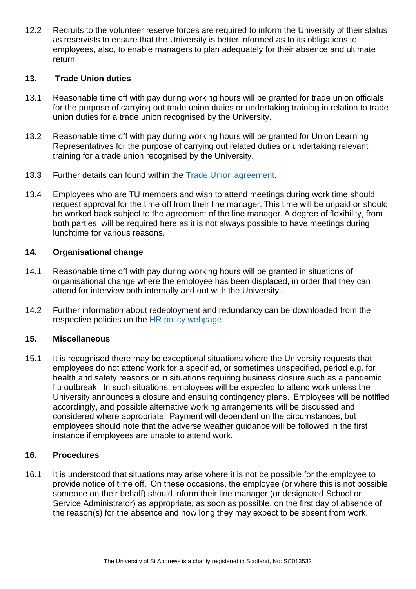12.2 Recruits to the volunteer reserve forces are required to inform the University of their status as reservists to ensure that the University is better informed as to its obligations to employees, also, to enable managers to plan adequately for their absence and ultimate return.

## <span id="page-7-0"></span>**13. Trade Union duties**

- 13.1 Reasonable time off with pay during working hours will be granted for trade union officials for the purpose of carrying out trade union duties or undertaking training in relation to trade union duties for a trade union recognised by the University.
- 13.2 Reasonable time off with pay during working hours will be granted for Union Learning Representatives for the purpose of carrying out related duties or undertaking relevant training for a trade union recognised by the University.
- 13.3 Further details can found within the [Trade Union agreement.](http://www.st-andrews.ac.uk/staff/policy/hr/TUDA/)
- 13.4 Employees who are TU members and wish to attend meetings during work time should request approval for the time off from their line manager. This time will be unpaid or should be worked back subject to the agreement of the line manager. A degree of flexibility, from both parties, will be required here as it is not always possible to have meetings during lunchtime for various reasons.

# <span id="page-7-1"></span>**14. Organisational change**

- 14.1 Reasonable time off with pay during working hours will be granted in situations of organisational change where the employee has been displaced, in order that they can attend for interview both internally and out with the University.
- 14.2 Further information about redeployment and redundancy can be downloaded from the respective policies on the [HR policy webpage.](https://www.st-andrews.ac.uk/staff/policy/hr/)

# <span id="page-7-2"></span>**15. Miscellaneous**

15.1 It is recognised there may be exceptional situations where the University requests that employees do not attend work for a specified, or sometimes unspecified, period e.g. for health and safety reasons or in situations requiring business closure such as a pandemic flu outbreak.  In such situations, employees will be expected to attend work unless the University announces a closure and ensuing contingency plans.  Employees will be notified accordingly, and possible alternative working arrangements will be discussed and considered where appropriate.  Payment will dependent on the circumstances, but employees should note that the adverse weather guidance will be followed in the first instance if employees are unable to attend work.

#### <span id="page-7-3"></span>**16. Procedures**

16.1 It is understood that situations may arise where it is not be possible for the employee to provide notice of time off.  On these occasions, the employee (or where this is not possible, someone on their behalf) should inform their line manager (or designated School or Service Administrator) as appropriate, as soon as possible, on the first day of absence of the reason(s) for the absence and how long they may expect to be absent from work.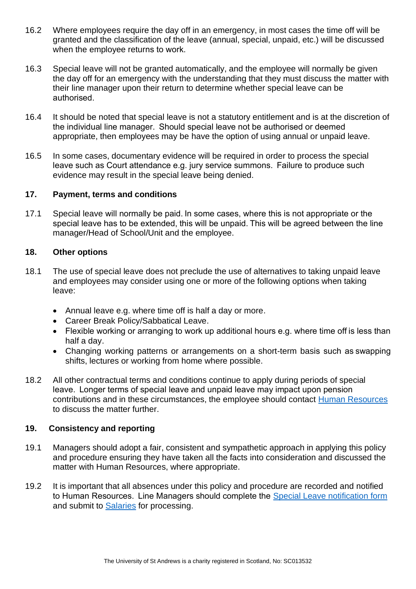- 16.2 Where employees require the day off in an emergency, in most cases the time off will be granted and the classification of the leave (annual, special, unpaid, etc.) will be discussed when the employee returns to work.
- 16.3 Special leave will not be granted automatically, and the employee will normally be given the day off for an emergency with the understanding that they must discuss the matter with their line manager upon their return to determine whether special leave can be authorised.
- 16.4 It should be noted that special leave is not a statutory entitlement and is at the discretion of the individual line manager.  Should special leave not be authorised or deemed appropriate, then employees may be have the option of using annual or unpaid leave.
- 16.5 In some cases, documentary evidence will be required in order to process the special leave such as Court attendance e.g. jury service summons.  Failure to produce such evidence may result in the special leave being denied.

#### <span id="page-8-0"></span>**17. Payment, terms and conditions**

17.1 Special leave will normally be paid. In some cases, where this is not appropriate or the special leave has to be extended, this will be unpaid. This will be agreed between the line manager/Head of School/Unit and the employee.

#### <span id="page-8-1"></span>**18. Other options**

- 18.1 The use of special leave does not preclude the use of alternatives to taking unpaid leave and employees may consider using one or more of the following options when taking leave:
	- Annual leave e.g. where time off is half a day or more.
	- Career Break Policy/Sabbatical Leave.
	- Flexible working or arranging to work up additional hours e.g. where time off is less than half a day.
	- Changing working patterns or arrangements on a short-term basis such as swapping shifts, lectures or working from home where possible.
- 18.2 All other contractual terms and conditions continue to apply during periods of special leave.  Longer terms of special leave and unpaid leave may impact upon pension contributions and in these circumstances, the employee should contact [Human Resources](https://www.st-andrews.ac.uk/hr/) to discuss the matter further.

#### <span id="page-8-2"></span>**19. Consistency and reporting**

- 19.1 Managers should adopt a fair, consistent and sympathetic approach in applying this policy and procedure ensuring they have taken all the facts into consideration and discussed the matter with Human Resources, where appropriate.
- 19.2 It is important that all absences under this policy and procedure are recorded and notified to Human Resources.  Line Managers should complete the [Special Leave notification form](https://www.st-andrews.ac.uk/media/human-resources/new-policy-section-documents/specialleave/Special%20leave%20notification%20form.docx) and submit to [Salaries](mailto:Monthly%20NS%20%3cmonthly-ns@st-andrews.ac.uk%3e) for processing.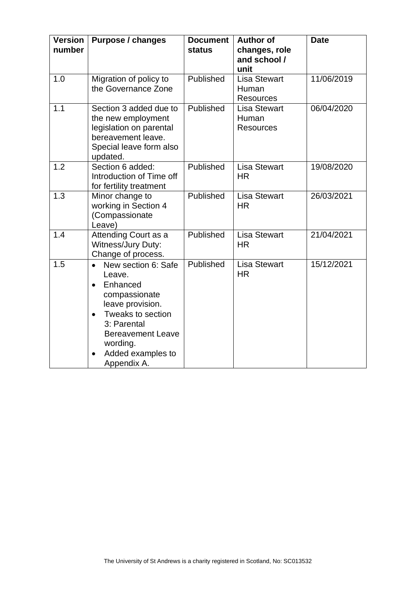| <b>Version</b><br>number | <b>Purpose / changes</b>                                                                                                                                                                                                            | <b>Document</b><br><b>status</b> | <b>Author of</b><br>changes, role<br>and school /<br>unit | <b>Date</b> |
|--------------------------|-------------------------------------------------------------------------------------------------------------------------------------------------------------------------------------------------------------------------------------|----------------------------------|-----------------------------------------------------------|-------------|
| 1.0                      | Migration of policy to<br>the Governance Zone                                                                                                                                                                                       | Published                        | <b>Lisa Stewart</b><br>Human<br><b>Resources</b>          | 11/06/2019  |
| 1.1                      | Section 3 added due to<br>the new employment<br>legislation on parental<br>bereavement leave.<br>Special leave form also<br>updated.                                                                                                | Published                        | <b>Lisa Stewart</b><br>Human<br><b>Resources</b>          | 06/04/2020  |
| 1.2                      | Section 6 added:<br>Introduction of Time off<br>for fertility treatment                                                                                                                                                             | Published                        | <b>Lisa Stewart</b><br><b>HR</b>                          | 19/08/2020  |
| 1.3                      | Minor change to<br>working in Section 4<br>(Compassionate<br>Leave)                                                                                                                                                                 | Published                        | <b>Lisa Stewart</b><br><b>HR</b>                          | 26/03/2021  |
| 1.4                      | Attending Court as a<br>Witness/Jury Duty:<br>Change of process.                                                                                                                                                                    | Published                        | <b>Lisa Stewart</b><br><b>HR</b>                          | 21/04/2021  |
| 1.5                      | New section 6: Safe<br>$\bullet$<br>Leave.<br>Enhanced<br>$\bullet$<br>compassionate<br>leave provision.<br>Tweaks to section<br>$\bullet$<br>3: Parental<br><b>Bereavement Leave</b><br>wording.<br>Added examples to<br>$\bullet$ | Published                        | <b>Lisa Stewart</b><br><b>HR</b>                          | 15/12/2021  |
|                          | Appendix A.                                                                                                                                                                                                                         |                                  |                                                           |             |